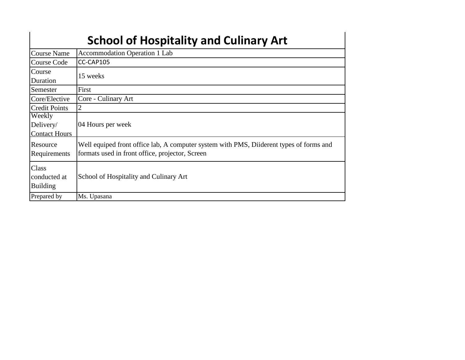## **School of Hospitality and Culinary Art**

 $\overline{\phantom{a}}$ 

| Course Name          | <b>Accommodation Operation 1 Lab</b>                                                    |
|----------------------|-----------------------------------------------------------------------------------------|
| <b>Course Code</b>   | CC-CAP105                                                                               |
| Course               | 15 weeks                                                                                |
| Duration             |                                                                                         |
| Semester             | First                                                                                   |
| Core/Elective        | Core - Culinary Art                                                                     |
| <b>Credit Points</b> | 2                                                                                       |
| Weekly               |                                                                                         |
| Delivery/            | 04 Hours per week                                                                       |
| <b>Contact Hours</b> |                                                                                         |
| Resource             | Well equiped front office lab, A computer system with PMS, Diiderent types of forms and |
| Requirements         | formats used in front office, projector, Screen                                         |
|                      |                                                                                         |
| Class                |                                                                                         |
| conducted at         | School of Hospitality and Culinary Art                                                  |
| <b>Building</b>      |                                                                                         |
| Prepared by          | Ms. Upasana                                                                             |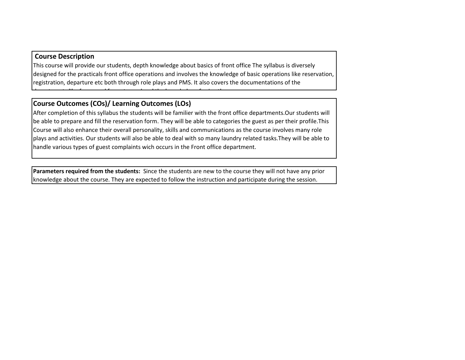## **Course Description**

L

This course will provide our students, depth knowledge about basics of front office The syllabus is diversely designed for the practicals front office operations and involves the knowledge of basic operations like reservation, registration, departure etc both through role plays and PMS. It also covers the documentations of the

## **Course Outcomes (COs)/ Learning Outcomes (LOs)**

departments like forms and formats used and the knowledge of using them.

After completion of this syllabus the students will be familier with the front office departments.Our students will be able to prepare and fill the reservation form. They will be able to categories the guest as per their profile.This Course will also enhance their overall personality, skills and communications as the course involves many role plays and activities. Our students will also be able to deal with so many laundry related tasks.They will be able to handle various types of guest complaints wich occurs in the Front office department.

**Parameters required from the students:** Since the students are new to the course they will not have any prior knowledge about the course. They are expected to follow the instruction and participate during the session.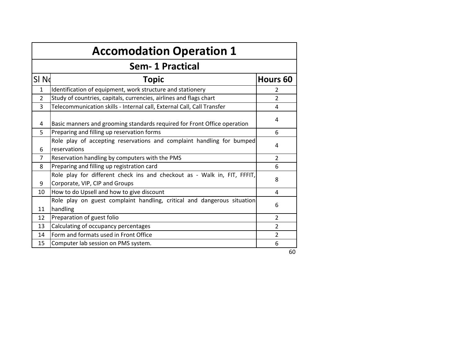|                  | <b>Accomodation Operation 1</b>                                                                            |                |  |  |  |  |  |  |
|------------------|------------------------------------------------------------------------------------------------------------|----------------|--|--|--|--|--|--|
|                  | <b>Sem-1 Practical</b>                                                                                     |                |  |  |  |  |  |  |
| SI <sub>Nd</sub> | <b>Topic</b>                                                                                               | Hours 60       |  |  |  |  |  |  |
| $\mathbf{1}$     | Identification of equipment, work structure and stationery                                                 | $\mathcal{P}$  |  |  |  |  |  |  |
| $\mathfrak{p}$   | Study of countries, capitals, currencies, airlines and flags chart                                         | $\overline{2}$ |  |  |  |  |  |  |
| 3                | Telecommunication skills - Internal call, External Call, Call Transfer                                     | 4              |  |  |  |  |  |  |
| 4                | Basic manners and grooming standards required for Front Office operation                                   | 4              |  |  |  |  |  |  |
| 5                | Preparing and filling up reservation forms                                                                 | 6              |  |  |  |  |  |  |
| 6                | Role play of accepting reservations and complaint handling for bumped<br>reservations                      | 4              |  |  |  |  |  |  |
| $\overline{7}$   | Reservation handling by computers with the PMS                                                             | $\overline{2}$ |  |  |  |  |  |  |
| 8                | Preparing and filling up registration card                                                                 | 6              |  |  |  |  |  |  |
| 9                | Role play for different check ins and checkout as - Walk in, FIT, FFFIT,<br>Corporate, VIP, CIP and Groups | 8              |  |  |  |  |  |  |
| 10               | How to do Upsell and how to give discount                                                                  | 4              |  |  |  |  |  |  |
| 11               | Role play on guest complaint handling, critical and dangerous situation<br>handling                        | 6              |  |  |  |  |  |  |
| 12               | Preparation of guest folio                                                                                 | $\overline{2}$ |  |  |  |  |  |  |
| 13               | Calculating of occupancy percentages                                                                       | $\overline{2}$ |  |  |  |  |  |  |
| 14               | Form and formats used in Front Office                                                                      | $\overline{2}$ |  |  |  |  |  |  |
| 15               | Computer lab session on PMS system.                                                                        | 6              |  |  |  |  |  |  |
|                  |                                                                                                            | 60             |  |  |  |  |  |  |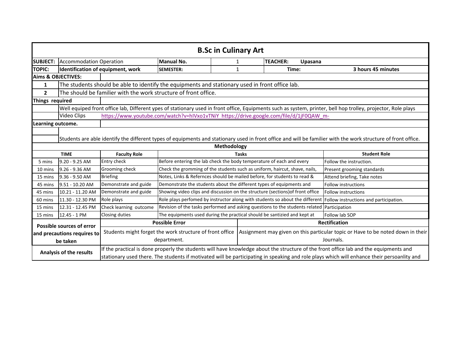|                                                                                                                                                                               | <b>B.Sc in Culinary Art</b>      |                                   |                                                                                                 |              |                            |                                                                                                                                                                                                                                                                                     |  |  |
|-------------------------------------------------------------------------------------------------------------------------------------------------------------------------------|----------------------------------|-----------------------------------|-------------------------------------------------------------------------------------------------|--------------|----------------------------|-------------------------------------------------------------------------------------------------------------------------------------------------------------------------------------------------------------------------------------------------------------------------------------|--|--|
| <b>SUBJECT:</b>                                                                                                                                                               | <b>Accommodation Operation</b>   |                                   | <b>Manual No.</b>                                                                               | $\mathbf 1$  | <b>TEACHER:</b><br>Upasana |                                                                                                                                                                                                                                                                                     |  |  |
| <b>TOPIC:</b>                                                                                                                                                                 |                                  | Identification of equipment, work | <b>SEMESTER:</b>                                                                                | 1            | Time:                      | 3 hours 45 minutes                                                                                                                                                                                                                                                                  |  |  |
|                                                                                                                                                                               | <b>Aims &amp; OBJECTIVES:</b>    |                                   |                                                                                                 |              |                            |                                                                                                                                                                                                                                                                                     |  |  |
| 1                                                                                                                                                                             |                                  |                                   | The students should be able to identify the equipments and stationary used in front office lab. |              |                            |                                                                                                                                                                                                                                                                                     |  |  |
| $\overline{2}$                                                                                                                                                                |                                  |                                   | The should be familier with the work structure of front office.                                 |              |                            |                                                                                                                                                                                                                                                                                     |  |  |
|                                                                                                                                                                               | Things required                  |                                   |                                                                                                 |              |                            |                                                                                                                                                                                                                                                                                     |  |  |
|                                                                                                                                                                               |                                  |                                   |                                                                                                 |              |                            | Well equiped front office lab, Different ypes of stationary used in front office, Equipments such as system, printer, bell hop trolley, projector, Role plays                                                                                                                       |  |  |
|                                                                                                                                                                               | Video Clips                      |                                   | https://www.youtube.com/watch?v=hIVxo1vTNiY_https://drive.google.com/file/d/1jF0QAW_m-          |              |                            |                                                                                                                                                                                                                                                                                     |  |  |
| Learning outcome.                                                                                                                                                             |                                  |                                   |                                                                                                 |              |                            |                                                                                                                                                                                                                                                                                     |  |  |
| Students are able identify the different types of equipments and stationary used in front office and will be familier with the work structure of front office.<br>Methodology |                                  |                                   |                                                                                                 |              |                            |                                                                                                                                                                                                                                                                                     |  |  |
|                                                                                                                                                                               | <b>TIME</b>                      | <b>Faculty Role</b>               |                                                                                                 | <b>Tasks</b> |                            | <b>Student Role</b>                                                                                                                                                                                                                                                                 |  |  |
| 5 mins                                                                                                                                                                        | $9.20 - 9.25$ AM                 | Entry check                       | Before entering the lab check the body temperature of each and every                            |              |                            | Follow the instruction.                                                                                                                                                                                                                                                             |  |  |
| 10 mins                                                                                                                                                                       | 9.26 - 9.36 AM                   | Grooming check                    | Check the gromming of the students such as uniform, haircut, shave, nails,                      |              |                            | Present grooming standards                                                                                                                                                                                                                                                          |  |  |
| 15 mins                                                                                                                                                                       | 9.36 - 9.50 AM                   | <b>Briefing</b>                   | Notes, Links & Refernces should be mailed before, for students to read &                        |              |                            | Attend briefing, Take notes                                                                                                                                                                                                                                                         |  |  |
| 45 mins                                                                                                                                                                       | 9.51 - 10.20 AM                  | Demonstrate and guide             | Demonstrate the students about the different types of equipments and                            |              |                            | <b>Follow instructions</b>                                                                                                                                                                                                                                                          |  |  |
| 45 mins                                                                                                                                                                       | 10.21 - 11.20 AM                 | Demonstrate and guide             | Showing video clips and discussion on the structure (sections) of front office                  |              |                            | Follow instructions                                                                                                                                                                                                                                                                 |  |  |
| 60 mins                                                                                                                                                                       | 11.30 - 12.30 PM                 | Role plays                        | Role plays perfomed by instructor along with students so about the different                    |              |                            | Follow instructions and participation.                                                                                                                                                                                                                                              |  |  |
| 15 mins                                                                                                                                                                       | 12.31 - 12.45 PM                 | Check learning outcome            | Revision of the tasks performed and asking questions to the students related Participation      |              |                            |                                                                                                                                                                                                                                                                                     |  |  |
| 15 mins                                                                                                                                                                       | 12.45 - 1 PM                     | Closing duties                    | The equipments used during the practical should be santizied and kept at                        |              |                            | Follow lab SOP                                                                                                                                                                                                                                                                      |  |  |
|                                                                                                                                                                               | <b>Possible sources of error</b> |                                   | <b>Possible Error</b>                                                                           |              |                            | <b>Rectification</b>                                                                                                                                                                                                                                                                |  |  |
|                                                                                                                                                                               | and precautions requires to      |                                   | Students might forget the work structure of front office                                        |              |                            | Assignment may given on this particular topic or Have to be noted down in their                                                                                                                                                                                                     |  |  |
|                                                                                                                                                                               | be taken                         |                                   | department.                                                                                     |              |                            | Journals.                                                                                                                                                                                                                                                                           |  |  |
| Analysis of the results                                                                                                                                                       |                                  |                                   |                                                                                                 |              |                            | If the practical is done properly the students will have knowledge about the structure of the front office lab and the equipments and<br>stationary used there. The students if motivated will be participating in speaking and role plays which will enhance their persoanlity and |  |  |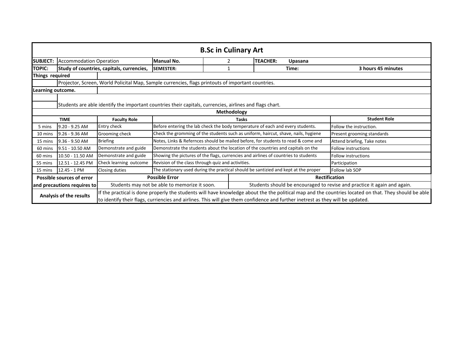|                   | <b>B.Sc in Culinary Art</b>                                                                                                                                                                                                                                                                                         |                                           |                                                                                                    |              |                                                                                     |                                                                          |  |  |
|-------------------|---------------------------------------------------------------------------------------------------------------------------------------------------------------------------------------------------------------------------------------------------------------------------------------------------------------------|-------------------------------------------|----------------------------------------------------------------------------------------------------|--------------|-------------------------------------------------------------------------------------|--------------------------------------------------------------------------|--|--|
| <b>SUBJECT:</b>   | <b>Accommodation Operation</b>                                                                                                                                                                                                                                                                                      |                                           | <b>Manual No.</b>                                                                                  |              | <b>TEACHER:</b><br>Upasana                                                          |                                                                          |  |  |
| <b>TOPIC:</b>     |                                                                                                                                                                                                                                                                                                                     | Study of countries, capitals, currencies, | <b>SEMESTER:</b>                                                                                   | $\mathbf{1}$ | Time:                                                                               | 3 hours 45 minutes                                                       |  |  |
| Things required   |                                                                                                                                                                                                                                                                                                                     |                                           |                                                                                                    |              |                                                                                     |                                                                          |  |  |
|                   |                                                                                                                                                                                                                                                                                                                     |                                           | Projector, Screen, World Policital Map, Sample currencies, flags printouts of important countries. |              |                                                                                     |                                                                          |  |  |
| Learning outcome. |                                                                                                                                                                                                                                                                                                                     |                                           |                                                                                                    |              |                                                                                     |                                                                          |  |  |
|                   | Students are able identify the important countries their capitals, currencies, airlines and flags chart.                                                                                                                                                                                                            |                                           |                                                                                                    |              |                                                                                     |                                                                          |  |  |
|                   | Methodology                                                                                                                                                                                                                                                                                                         |                                           |                                                                                                    |              |                                                                                     |                                                                          |  |  |
|                   | <b>TIME</b>                                                                                                                                                                                                                                                                                                         | <b>Faculty Role</b>                       |                                                                                                    | Tasks        |                                                                                     | <b>Student Role</b>                                                      |  |  |
| 5 mins            | 9.20 - 9.25 AM                                                                                                                                                                                                                                                                                                      | Entry check                               |                                                                                                    |              | Before entering the lab check the body temperature of each and every students.      | Follow the instruction.                                                  |  |  |
| 10 mins           | 9.26 - 9.36 AM                                                                                                                                                                                                                                                                                                      | Grooming check                            |                                                                                                    |              | Check the gromming of the students such as uniform, haircut, shave, nails, hygiene  | Present grooming standards                                               |  |  |
| 15 mins           | $9.36 - 9.50$ AM                                                                                                                                                                                                                                                                                                    | <b>Briefing</b>                           |                                                                                                    |              | Notes, Links & Refernces should be mailed before, for students to read & come and   | Attend briefing, Take notes                                              |  |  |
| 60 mins           | 9.51 - 10.50 AM                                                                                                                                                                                                                                                                                                     | Demonstrate and guide                     |                                                                                                    |              | Demonstrate the students about the location of the countries and capitals on the    | <b>Follow instructions</b>                                               |  |  |
| 60 mins           | 10.50 - 11.50 AM                                                                                                                                                                                                                                                                                                    | Demonstrate and guide                     |                                                                                                    |              | Showing the pictures of the flags, currencies and airlines of countries to students | <b>Follow instructions</b>                                               |  |  |
| 55 mins           | 12.51 - 12.45 PM                                                                                                                                                                                                                                                                                                    | Check learning outcome                    | Revision of the class through quiz and activities.                                                 |              |                                                                                     | Participation                                                            |  |  |
| 15 mins           | 12.45 - 1 PM                                                                                                                                                                                                                                                                                                        | Closing duties                            |                                                                                                    |              | The stationary used during the practical should be santizied and kept at the proper | Follow lab SOP                                                           |  |  |
|                   | Possible sources of error                                                                                                                                                                                                                                                                                           |                                           | <b>Possible Error</b>                                                                              |              |                                                                                     | <b>Rectification</b>                                                     |  |  |
|                   | and precautions requires to                                                                                                                                                                                                                                                                                         |                                           | Students may not be able to memorize it soon.                                                      |              |                                                                                     | Students should be encouraged to revise and practice it again and again. |  |  |
|                   | If the practical is done properly the students will have knowledge about the the political map and the countries located on that. They should be able<br>Analysis of the results<br>to identify their flags, curriencies and airlines. This will give them confidence and further inetrest as they will be updated. |                                           |                                                                                                    |              |                                                                                     |                                                                          |  |  |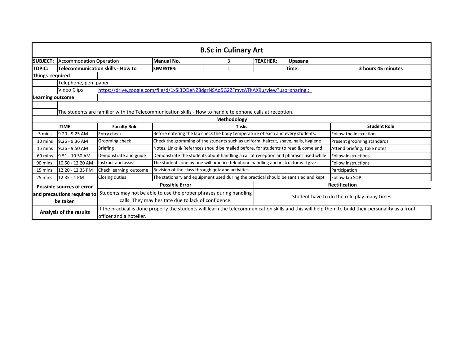|                                         | <b>B.Sc in Culinary Art</b>                                                                               |                                          |                                                                                                                                                                           |              |                 |         |                                                                                                                                                      |  |  |  |
|-----------------------------------------|-----------------------------------------------------------------------------------------------------------|------------------------------------------|---------------------------------------------------------------------------------------------------------------------------------------------------------------------------|--------------|-----------------|---------|------------------------------------------------------------------------------------------------------------------------------------------------------|--|--|--|
| <b>SUBJECT:</b>                         | <b>Accommodation Operation</b>                                                                            |                                          | <b>Manual No.</b>                                                                                                                                                         | 3            | <b>TEACHER:</b> | Upasana |                                                                                                                                                      |  |  |  |
| <b>TOPIC:</b>                           |                                                                                                           | <b>Telecommunication skills - How to</b> | <b>SEMESTER:</b>                                                                                                                                                          |              |                 | Time:   | 3 hours 45 minutes                                                                                                                                   |  |  |  |
| Things required                         |                                                                                                           |                                          |                                                                                                                                                                           |              |                 |         |                                                                                                                                                      |  |  |  |
|                                         | Telephone, pen. paper                                                                                     |                                          |                                                                                                                                                                           |              |                 |         |                                                                                                                                                      |  |  |  |
|                                         | Video Clips                                                                                               |                                          | https://drive.google.com/file/d/1xSI3ODeNZ8dgrNSAo5G2ZFmvzATKAX9u/view?usp=sharing;                                                                                       |              |                 |         |                                                                                                                                                      |  |  |  |
| <b>Learning outcome</b>                 |                                                                                                           |                                          |                                                                                                                                                                           |              |                 |         |                                                                                                                                                      |  |  |  |
|                                         | The students are familier with the Telecommunication skills - How to handle telephone calls at reception. |                                          |                                                                                                                                                                           |              |                 |         |                                                                                                                                                      |  |  |  |
|                                         | Methodology                                                                                               |                                          |                                                                                                                                                                           |              |                 |         |                                                                                                                                                      |  |  |  |
|                                         | <b>TIME</b>                                                                                               | <b>Faculty Role</b>                      |                                                                                                                                                                           | <b>Tasks</b> |                 |         | <b>Student Role</b>                                                                                                                                  |  |  |  |
| 5 mins                                  | 9.20 - 9.25 AM                                                                                            | Entry check                              | Before entering the lab check the body temperature of each and every students.                                                                                            |              |                 |         | Follow the instruction.                                                                                                                              |  |  |  |
| 10 mins                                 | 9.26 - 9.36 AM                                                                                            | Grooming check                           | Check the gromming of the students such as uniform, haircut, shave, nails, hygiene                                                                                        |              |                 |         | Present grooming standards                                                                                                                           |  |  |  |
| 15 mins                                 | $9.36 - 9.50$ AM                                                                                          | <b>Briefing</b>                          | Notes, Links & Refernces should be mailed before, for students to read & come and                                                                                         |              |                 |         | Attend briefing, Take notes                                                                                                                          |  |  |  |
| 60 mins                                 | 9.51 - 10.50 AM                                                                                           | Demonstrate and guide                    | Demonstrate the students about handling a call at reception and pharases used while                                                                                       |              |                 |         | <b>Follow instructions</b>                                                                                                                           |  |  |  |
| 90 mins                                 | 10.50 - 12.20 AM                                                                                          | Instruct and assist                      | The students one by one will practice telephone handling and instructor will give                                                                                         |              |                 |         | <b>Follow instructions</b>                                                                                                                           |  |  |  |
| 15 mins                                 | 12.20 - 12.35 PM                                                                                          | Check learning outcome                   | Revision of the class through quiz and activities.                                                                                                                        |              |                 |         | Participation                                                                                                                                        |  |  |  |
| 25 mins                                 | 12.35 - 1 PM                                                                                              | Closing duties                           | The stationary and equipment used during the practical should be santizied and kept                                                                                       |              |                 |         | Follow lab SOP                                                                                                                                       |  |  |  |
|                                         | Possible sources of error                                                                                 |                                          | <b>Possible Error</b>                                                                                                                                                     |              |                 |         | <b>Rectification</b>                                                                                                                                 |  |  |  |
| and precautions requires to<br>be taken |                                                                                                           |                                          | Students may not be able to use the proper phrases during handling<br>Student have to do the role play many times.<br>calls. They may hesitate due to lack of confidence. |              |                 |         |                                                                                                                                                      |  |  |  |
|                                         | Analysis of the results<br>officer and a hotelier.                                                        |                                          |                                                                                                                                                                           |              |                 |         | If the practical is done properly the students will learn the telecommunication skills and this will help them to build their personality as a front |  |  |  |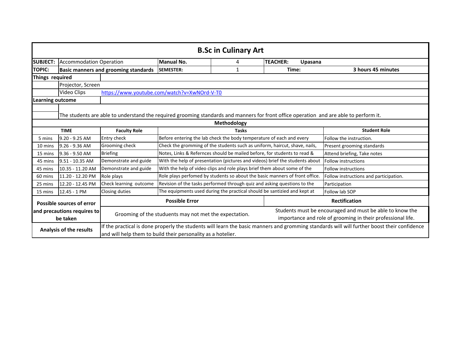|                                         | <b>B.Sc in Culinary Art</b>                                                                                                            |                                                              |                                                                          |                                                                                                                         |                                                                                                                                             |                                        |  |  |
|-----------------------------------------|----------------------------------------------------------------------------------------------------------------------------------------|--------------------------------------------------------------|--------------------------------------------------------------------------|-------------------------------------------------------------------------------------------------------------------------|---------------------------------------------------------------------------------------------------------------------------------------------|----------------------------------------|--|--|
| <b>SUBJECT:</b>                         | <b>Accommodation Operation</b>                                                                                                         | Manual No.<br><b>TEACHER:</b><br>4<br>Upasana                |                                                                          |                                                                                                                         |                                                                                                                                             |                                        |  |  |
| <b>TOPIC:</b>                           |                                                                                                                                        | <b>Basic manners and grooming standards</b>                  | <b>SEMESTER:</b>                                                         | 1                                                                                                                       | Time:                                                                                                                                       | 3 hours 45 minutes                     |  |  |
| Things required                         |                                                                                                                                        |                                                              |                                                                          |                                                                                                                         |                                                                                                                                             |                                        |  |  |
| Projector, Screen                       |                                                                                                                                        |                                                              |                                                                          |                                                                                                                         |                                                                                                                                             |                                        |  |  |
|                                         | Video Clips                                                                                                                            | https://www.youtube.com/watch?v=XwNOrd-V-T0                  |                                                                          |                                                                                                                         |                                                                                                                                             |                                        |  |  |
| <b>Learning outcome</b>                 |                                                                                                                                        |                                                              |                                                                          |                                                                                                                         |                                                                                                                                             |                                        |  |  |
|                                         | The students are able to understand the required grooming standards and manners for front office operation and are able to perform it. |                                                              |                                                                          |                                                                                                                         |                                                                                                                                             |                                        |  |  |
|                                         | Methodology                                                                                                                            |                                                              |                                                                          |                                                                                                                         |                                                                                                                                             |                                        |  |  |
|                                         | <b>TIME</b>                                                                                                                            | <b>Faculty Role</b>                                          |                                                                          | <b>Tasks</b>                                                                                                            |                                                                                                                                             | <b>Student Role</b>                    |  |  |
| 5 mins                                  | $9.20 - 9.25$ AM                                                                                                                       | Entry check                                                  |                                                                          | Before entering the lab check the body temperature of each and every                                                    |                                                                                                                                             | Follow the instruction.                |  |  |
| 10 mins                                 | $9.26 - 9.36$ AM                                                                                                                       | Grooming check                                               |                                                                          |                                                                                                                         | Check the gromming of the students such as uniform, haircut, shave, nails,                                                                  | Present grooming standards             |  |  |
| 15 mins                                 | 9.36 - 9.50 AM                                                                                                                         | <b>Briefing</b>                                              |                                                                          | Notes, Links & Refernces should be mailed before, for students to read &                                                |                                                                                                                                             | Attend briefing, Take notes            |  |  |
| 45 mins                                 | 9.51 - 10.35 AM                                                                                                                        | Demonstrate and guide                                        |                                                                          |                                                                                                                         | With the help of presentation (pictures and videos) brief the students about                                                                | <b>Follow instructions</b>             |  |  |
| 45 mins                                 | 10.35 - 11.20 AM                                                                                                                       | Demonstrate and guide                                        |                                                                          | With the help of video clips and role plays brief them about some of the                                                |                                                                                                                                             | Follow instructions                    |  |  |
| 60 mins                                 | 11.20 - 12.20 PM                                                                                                                       | Role plays                                                   |                                                                          |                                                                                                                         | Role plays perfomed by students so about the basic manners of front office                                                                  | Follow instructions and participation. |  |  |
| 25 mins                                 | 12.20 - 12.45 PM                                                                                                                       | Check learning outcome                                       | Revision of the tasks performed through quiz and asking questions to the |                                                                                                                         |                                                                                                                                             | Participation                          |  |  |
| 15 mins                                 | 12.45 - 1 PM                                                                                                                           | Closing duties                                               |                                                                          | The equipments used during the practical should be santizied and kept at                                                |                                                                                                                                             | Follow lab SOP                         |  |  |
|                                         | Possible sources of error                                                                                                              |                                                              | <b>Possible Error</b>                                                    |                                                                                                                         |                                                                                                                                             | <b>Rectification</b>                   |  |  |
| and precautions requires to<br>be taken |                                                                                                                                        | Grooming of the studuents may not met the expectation.       |                                                                          | Students must be encouraged and must be able to know the<br>importance and role of grooming in their professional life. |                                                                                                                                             |                                        |  |  |
| Analysis of the results                 |                                                                                                                                        | and will help them to build their personality as a hotelier. |                                                                          |                                                                                                                         | If the practical is done properly the students will learn the basic manners and gromming standards will will further boost their confidence |                                        |  |  |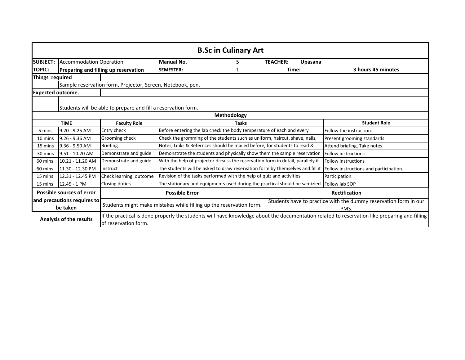|                          | <b>B.Sc in Culinary Art</b>                                   |                                                            |                                                                                                                                                 |                                                                          |                                                                                 |                                                                                                                                              |  |  |
|--------------------------|---------------------------------------------------------------|------------------------------------------------------------|-------------------------------------------------------------------------------------------------------------------------------------------------|--------------------------------------------------------------------------|---------------------------------------------------------------------------------|----------------------------------------------------------------------------------------------------------------------------------------------|--|--|
|                          |                                                               |                                                            |                                                                                                                                                 |                                                                          |                                                                                 |                                                                                                                                              |  |  |
| <b>SUBJECT:</b>          | <b>Accommodation Operation</b>                                |                                                            | Manual No.                                                                                                                                      | <b>TEACHER:</b><br>5.<br>Upasana                                         |                                                                                 |                                                                                                                                              |  |  |
| <b>TOPIC:</b>            |                                                               | Preparing and filling up reservation                       | <b>SEMESTER:</b>                                                                                                                                | 1                                                                        | Time:                                                                           | 3 hours 45 minutes                                                                                                                           |  |  |
| Things required          |                                                               |                                                            |                                                                                                                                                 |                                                                          |                                                                                 |                                                                                                                                              |  |  |
|                          |                                                               | Sample reservation form, Projector, Screen, Notebook, pen. |                                                                                                                                                 |                                                                          |                                                                                 |                                                                                                                                              |  |  |
| <b>Expected outcome.</b> |                                                               |                                                            |                                                                                                                                                 |                                                                          |                                                                                 |                                                                                                                                              |  |  |
|                          | Students will be able to prepare and fill a reservation form. |                                                            |                                                                                                                                                 |                                                                          |                                                                                 |                                                                                                                                              |  |  |
|                          | Methodology                                                   |                                                            |                                                                                                                                                 |                                                                          |                                                                                 |                                                                                                                                              |  |  |
|                          | <b>TIME</b>                                                   | <b>Faculty Role</b>                                        |                                                                                                                                                 | <b>Tasks</b>                                                             |                                                                                 | <b>Student Role</b>                                                                                                                          |  |  |
| 5 mins                   | $9.20 - 9.25$ AM                                              | Entry check                                                |                                                                                                                                                 | Before entering the lab check the body temperature of each and every     |                                                                                 | Follow the instruction.                                                                                                                      |  |  |
| 10 mins                  | $9.26 - 9.36$ AM                                              | Grooming check                                             |                                                                                                                                                 |                                                                          | Check the gromming of the students such as uniform, haircut, shave, nails,      | Present grooming standards                                                                                                                   |  |  |
| 15 mins                  | 9.36 - 9.50 AM                                                | <b>Briefing</b>                                            |                                                                                                                                                 | Notes, Links & Refernces should be mailed before, for students to read & |                                                                                 | Attend briefing, Take notes                                                                                                                  |  |  |
| 30 mins                  | 9.51 - 10.20 AM                                               | Demonstrate and guide                                      |                                                                                                                                                 |                                                                          | Demonstrate the students and physically show them the sample reservation        | <b>Follow instructions</b>                                                                                                                   |  |  |
| 60 mins                  | 10.21 - 11.20 AM                                              | Demonstrate and guide                                      |                                                                                                                                                 |                                                                          | With the help of projector dicsuss the reservation form in detail, parallely if | <b>Follow instructions</b>                                                                                                                   |  |  |
| 60 mins                  | 11.30 - 12.30 PM                                              | Instruct                                                   |                                                                                                                                                 |                                                                          | The students will be asked to draw reservation form by themselves and fill it   | Follow instructions and participation.                                                                                                       |  |  |
| 15 mins                  | 12.31 - 12.45 PM                                              | Check learning outcome                                     |                                                                                                                                                 | Revision of the tasks performed with the help of quiz and activities.    |                                                                                 | Participation                                                                                                                                |  |  |
| 15 mins                  | 12.45 - 1 PM                                                  | Closing duties                                             |                                                                                                                                                 |                                                                          | The stationary and equipments used during the practical should be santizied     | Follow lab SOP                                                                                                                               |  |  |
|                          | Possible sources of error                                     |                                                            | <b>Possible Error</b>                                                                                                                           |                                                                          |                                                                                 | Rectification                                                                                                                                |  |  |
|                          | and precautions requires to<br>be taken                       |                                                            | Students have to practice with the dummy reservation form in our<br>Students might make mistakes while filling up the reservation form.<br>PMS. |                                                                          |                                                                                 |                                                                                                                                              |  |  |
| Analysis of the results  |                                                               | of reservation form.                                       |                                                                                                                                                 |                                                                          |                                                                                 | If the practical is done properly the students will have knowledge about the documentation related to reservation like preparing and filling |  |  |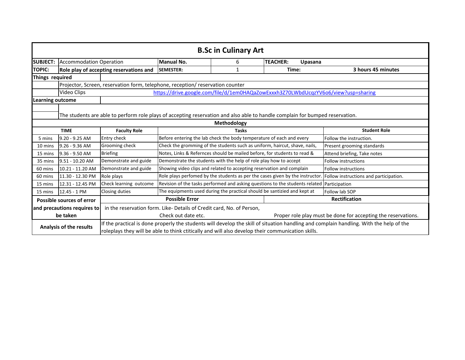|                         | <b>B.Sc in Culinary Art</b>                                                                                                   |                                                                                                                                                                                                                                              |                       |                                                                            |                                                                                            |                                                                                                                      |  |  |
|-------------------------|-------------------------------------------------------------------------------------------------------------------------------|----------------------------------------------------------------------------------------------------------------------------------------------------------------------------------------------------------------------------------------------|-----------------------|----------------------------------------------------------------------------|--------------------------------------------------------------------------------------------|----------------------------------------------------------------------------------------------------------------------|--|--|
| <b>SUBJECT:</b>         | <b>Accommodation Operation</b>                                                                                                |                                                                                                                                                                                                                                              | <b>Manual No.</b>     | 6                                                                          | <b>TEACHER:</b><br>Upasana                                                                 |                                                                                                                      |  |  |
| <b>TOPIC:</b>           |                                                                                                                               | Role play of accepting reservations and                                                                                                                                                                                                      | <b>SEMESTER:</b>      | 1                                                                          | Time:                                                                                      | 3 hours 45 minutes                                                                                                   |  |  |
|                         | Things required                                                                                                               |                                                                                                                                                                                                                                              |                       |                                                                            |                                                                                            |                                                                                                                      |  |  |
|                         |                                                                                                                               | Projector, Screen, reservation form, telephone, reception/ reservation counter                                                                                                                                                               |                       |                                                                            |                                                                                            |                                                                                                                      |  |  |
|                         | Video Clips                                                                                                                   |                                                                                                                                                                                                                                              |                       |                                                                            | https://drive.google.com/file/d/1em0HAQaZowExxxh3Z70LWbdUcqzYV6o6/view?usp=sharing         |                                                                                                                      |  |  |
| Learning outcome        |                                                                                                                               |                                                                                                                                                                                                                                              |                       |                                                                            |                                                                                            |                                                                                                                      |  |  |
|                         | The students are able to perform role plays of accepting reservation and also able to handle complain for bumped reservation. |                                                                                                                                                                                                                                              |                       |                                                                            |                                                                                            |                                                                                                                      |  |  |
|                         | Methodology                                                                                                                   |                                                                                                                                                                                                                                              |                       |                                                                            |                                                                                            |                                                                                                                      |  |  |
|                         | <b>TIME</b>                                                                                                                   | <b>Faculty Role</b>                                                                                                                                                                                                                          |                       | <b>Tasks</b>                                                               |                                                                                            | <b>Student Role</b>                                                                                                  |  |  |
| 5 mins                  | 9.20 - 9.25 AM                                                                                                                | Entry check                                                                                                                                                                                                                                  |                       | Before entering the lab check the body temperature of each and every       |                                                                                            | Follow the instruction.                                                                                              |  |  |
| 10 mins                 | $9.26 - 9.36$ AM                                                                                                              | Grooming check                                                                                                                                                                                                                               |                       | Check the gromming of the students such as uniform, haircut, shave, nails, |                                                                                            | Present grooming standards                                                                                           |  |  |
| 15 mins                 | 9.36 - 9.50 AM                                                                                                                | <b>Briefing</b>                                                                                                                                                                                                                              |                       | Notes, Links & Refernces should be mailed before, for students to read &   |                                                                                            | Attend briefing, Take notes                                                                                          |  |  |
| 35 mins                 | 9.51 - 10.20 AM                                                                                                               | Demonstrate and guide                                                                                                                                                                                                                        |                       | Demonstrate the students with the help of role play how to accept          |                                                                                            | Follow instructions                                                                                                  |  |  |
| 60 mins                 | 10.21 - 11.20 AM                                                                                                              | Demonstrate and guide                                                                                                                                                                                                                        |                       | Showing video clips and related to accepting reservation and complain      |                                                                                            | Follow instructions                                                                                                  |  |  |
| 60 mins                 | 11.30 - 12.30 PM                                                                                                              | Role plays                                                                                                                                                                                                                                   |                       |                                                                            |                                                                                            | Role plays perfomed by the students as per the cases given by the instructor. Follow instructions and participation. |  |  |
| 15 mins                 | 12.31 - 12.45 PM                                                                                                              | Check learning outcome                                                                                                                                                                                                                       |                       |                                                                            | Revision of the tasks performed and asking questions to the students related Participation |                                                                                                                      |  |  |
| 15 mins                 | 12.45 - 1 PM                                                                                                                  | Closing duties                                                                                                                                                                                                                               |                       | The equipments used during the practical should be santizied and kept at   |                                                                                            | Follow lab SOP                                                                                                       |  |  |
|                         | Possible sources of error                                                                                                     |                                                                                                                                                                                                                                              | <b>Possible Error</b> |                                                                            |                                                                                            | <b>Rectification</b>                                                                                                 |  |  |
|                         | and precautions requires to                                                                                                   |                                                                                                                                                                                                                                              |                       | in the reservation form. Like-Details of Credit card, No. of Person,       |                                                                                            |                                                                                                                      |  |  |
|                         | be taken                                                                                                                      |                                                                                                                                                                                                                                              | Check out date etc.   |                                                                            |                                                                                            | Proper role play must be done for accepting the reservations.                                                        |  |  |
|                         |                                                                                                                               |                                                                                                                                                                                                                                              |                       |                                                                            |                                                                                            |                                                                                                                      |  |  |
| Analysis of the results |                                                                                                                               | If the practical is done properly the students will develop the skill of situation handling and complain handling. With the help of the<br>roleplays they will be able to think ctitically and will also develop their communication skills. |                       |                                                                            |                                                                                            |                                                                                                                      |  |  |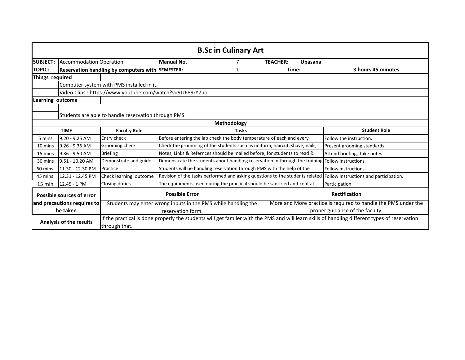|                  | <b>B.Sc in Culinary Art</b>                          |                                                          |                                                               |                                                                            |                                                                                                 |                                                                                                                                               |  |  |
|------------------|------------------------------------------------------|----------------------------------------------------------|---------------------------------------------------------------|----------------------------------------------------------------------------|-------------------------------------------------------------------------------------------------|-----------------------------------------------------------------------------------------------------------------------------------------------|--|--|
| <b>SUBJECT:</b>  | <b>Accommodation Operation</b>                       |                                                          | Manual No.                                                    | 7                                                                          | <b>TEACHER:</b><br>Upasana                                                                      |                                                                                                                                               |  |  |
| <b>TOPIC:</b>    |                                                      | Reservation handling by computers with SEMESTER:         |                                                               | 1                                                                          | Time:                                                                                           | 3 hours 45 minutes                                                                                                                            |  |  |
| Things required  |                                                      |                                                          |                                                               |                                                                            |                                                                                                 |                                                                                                                                               |  |  |
|                  |                                                      | Computer system with PMS installed in it.                |                                                               |                                                                            |                                                                                                 |                                                                                                                                               |  |  |
|                  |                                                      | Video Clips: https://www.youtube.com/watch?v=9Jz689rY7uo |                                                               |                                                                            |                                                                                                 |                                                                                                                                               |  |  |
| Learning outcome |                                                      |                                                          |                                                               |                                                                            |                                                                                                 |                                                                                                                                               |  |  |
|                  | Students are able to handle reservation through PMS. |                                                          |                                                               |                                                                            |                                                                                                 |                                                                                                                                               |  |  |
|                  | Methodology                                          |                                                          |                                                               |                                                                            |                                                                                                 |                                                                                                                                               |  |  |
|                  | <b>TIME</b>                                          | <b>Faculty Role</b><br><b>Tasks</b>                      |                                                               |                                                                            | <b>Student Role</b>                                                                             |                                                                                                                                               |  |  |
| 5 mins           | $9.20 - 9.25$ AM                                     | Entry check                                              |                                                               | Before entering the lab check the body temperature of each and every       |                                                                                                 | Follow the instruction.                                                                                                                       |  |  |
| 10 mins          | $9.26 - 9.36$ AM                                     | Grooming check                                           |                                                               | Check the gromming of the students such as uniform, haircut, shave, nails, |                                                                                                 | Present grooming standards                                                                                                                    |  |  |
| 15 mins          | 9.36 - 9.50 AM                                       | <b>Briefing</b>                                          |                                                               | Notes, Links & Refernces should be mailed before, for students to read &   |                                                                                                 | Attend briefing, Take notes                                                                                                                   |  |  |
| 30 mins          | 9.51 - 10.20 AM                                      | Demonstrate and guide                                    |                                                               |                                                                            | Demonstrate the students about handling reservation in through the training Follow instructions |                                                                                                                                               |  |  |
| 60 mins          | 11.30 - 12.30 PM                                     | Practice                                                 |                                                               | Students will be handling reservation through PMS with the help of the     |                                                                                                 | <b>Follow instructions</b>                                                                                                                    |  |  |
| 45 mins          | 12.31 - 12.45 PM                                     | Check learning outcome                                   |                                                               |                                                                            |                                                                                                 | Revision of the tasks performed and asking questions to the students related Follow instructions and participation.                           |  |  |
| 15 min           | 12.45 - 1 PM                                         | Closing duties                                           |                                                               | The equipments used during the practical should be santizied and kept at   |                                                                                                 | Participation                                                                                                                                 |  |  |
|                  | Possible sources of error                            |                                                          | <b>Possible Error</b>                                         |                                                                            |                                                                                                 | <b>Rectification</b>                                                                                                                          |  |  |
|                  | and precautions requires to                          |                                                          | Students may enter wrong inputs in the PMS while handling the |                                                                            |                                                                                                 | More and More practice is required to handle the PMS under the                                                                                |  |  |
|                  | be taken                                             |                                                          | reservation form.                                             |                                                                            |                                                                                                 | proper guidance of the faculty.                                                                                                               |  |  |
|                  | Analysis of the results<br>through that.             |                                                          |                                                               |                                                                            |                                                                                                 | If the practical is done properly the students will get familer with the PMS and will learn skills of handling different types of reservation |  |  |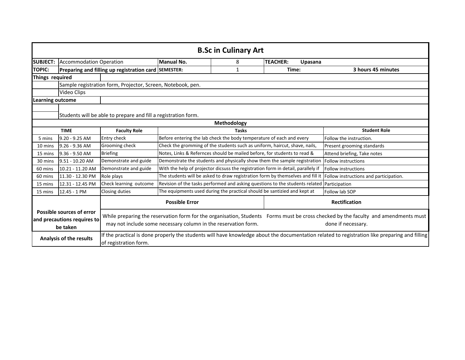|                                                                      |                                                                |                                                      |                                                                | <b>B.Sc in Culinary Art</b>                                              |                                                                                            |                                                                                                                                                          |  |  |
|----------------------------------------------------------------------|----------------------------------------------------------------|------------------------------------------------------|----------------------------------------------------------------|--------------------------------------------------------------------------|--------------------------------------------------------------------------------------------|----------------------------------------------------------------------------------------------------------------------------------------------------------|--|--|
| <b>SUBJECT:</b>                                                      | <b>Accommodation Operation</b>                                 |                                                      | Manual No.                                                     | 8                                                                        | <b>TEACHER:</b><br>Upasana                                                                 |                                                                                                                                                          |  |  |
| <b>TOPIC:</b>                                                        |                                                                | Preparing and filling up registration card SEMESTER: |                                                                | 1                                                                        | Time:                                                                                      | 3 hours 45 minutes                                                                                                                                       |  |  |
| Things required                                                      |                                                                |                                                      |                                                                |                                                                          |                                                                                            |                                                                                                                                                          |  |  |
| Sample registration form, Projector, Screen, Notebook, pen.          |                                                                |                                                      |                                                                |                                                                          |                                                                                            |                                                                                                                                                          |  |  |
|                                                                      | Video Clips                                                    |                                                      |                                                                |                                                                          |                                                                                            |                                                                                                                                                          |  |  |
| <b>Learning outcome</b>                                              |                                                                |                                                      |                                                                |                                                                          |                                                                                            |                                                                                                                                                          |  |  |
|                                                                      | Students will be able to prepare and fill a registration form. |                                                      |                                                                |                                                                          |                                                                                            |                                                                                                                                                          |  |  |
| Methodology                                                          |                                                                |                                                      |                                                                |                                                                          |                                                                                            |                                                                                                                                                          |  |  |
|                                                                      | <b>TIME</b>                                                    | <b>Faculty Role</b>                                  |                                                                | <b>Tasks</b>                                                             |                                                                                            | <b>Student Role</b>                                                                                                                                      |  |  |
| 5 mins                                                               | 9.20 - 9.25 AM                                                 | Entry check                                          |                                                                | Before entering the lab check the body temperature of each and every     |                                                                                            | Follow the instruction.                                                                                                                                  |  |  |
| 10 mins                                                              | $9.26 - 9.36$ AM                                               | Grooming check                                       |                                                                |                                                                          | Check the gromming of the students such as uniform, haircut, shave, nails,                 | Present grooming standards                                                                                                                               |  |  |
| 15 mins                                                              | 9.36 - 9.50 AM                                                 | <b>Briefing</b>                                      |                                                                | Notes, Links & Refernces should be mailed before, for students to read & |                                                                                            | Attend briefing, Take notes                                                                                                                              |  |  |
| 30 mins                                                              | 9.51 - 10.20 AM                                                | Demonstrate and guide                                |                                                                |                                                                          | Demonstrate the students and physically show them the sample registration                  | Follow instructions                                                                                                                                      |  |  |
| 60 mins                                                              | 10.21 - 11.20 AM                                               | Demonstrate and guide                                |                                                                |                                                                          | With the help of projector dicsuss the registration form in detail, parallely if           | <b>Follow instructions</b>                                                                                                                               |  |  |
| 60 mins                                                              | 11.30 - 12.30 PM                                               | Role plays                                           |                                                                |                                                                          |                                                                                            | The students will be asked to draw registration form by themselves and fill it Follow instructions and participation.                                    |  |  |
| 15 mins                                                              | 12.31 - 12.45 PM                                               | Check learning outcome                               |                                                                |                                                                          | Revision of the tasks performed and asking questions to the students related Participation |                                                                                                                                                          |  |  |
| 15 mins                                                              | 12.45 - 1 PM                                                   | Closing duties                                       |                                                                | The equipments used during the practical should be santizied and kept at |                                                                                            | Follow lab SOP                                                                                                                                           |  |  |
|                                                                      |                                                                |                                                      | <b>Possible Error</b>                                          |                                                                          |                                                                                            | <b>Rectification</b>                                                                                                                                     |  |  |
| Possible sources of error<br>and precautions requires to<br>be taken |                                                                |                                                      | may not include some necessary column in the reservation form. |                                                                          |                                                                                            | While preparing the reservation form for the organisation, Students Forms must be cross checked by the faculty and amendments must<br>done if necessary. |  |  |
|                                                                      | Analysis of the results                                        | of registration form.                                |                                                                |                                                                          |                                                                                            | If the practical is done properly the students will have knowledge about the documentation related to registration like preparing and filling            |  |  |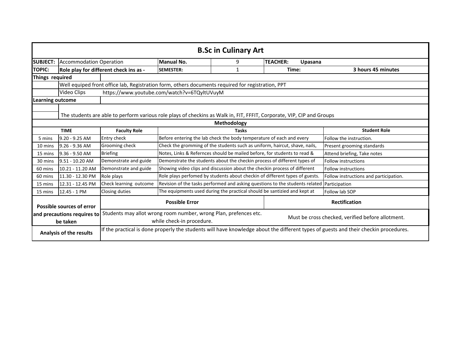|                                                                                                                                                                        | <b>B.Sc in Culinary Art</b>                                                                                            |                                             |                       |                                                                           |                                                                                            |                                        |  |  |
|------------------------------------------------------------------------------------------------------------------------------------------------------------------------|------------------------------------------------------------------------------------------------------------------------|---------------------------------------------|-----------------------|---------------------------------------------------------------------------|--------------------------------------------------------------------------------------------|----------------------------------------|--|--|
| <b>SUBJECT:</b>                                                                                                                                                        | <b>Accommodation Operation</b>                                                                                         |                                             | Manual No.            | 9                                                                         | <b>TEACHER:</b><br>Upasana                                                                 |                                        |  |  |
| <b>TOPIC:</b>                                                                                                                                                          |                                                                                                                        | Role play for different check ins as -      | <b>SEMESTER:</b>      | 1                                                                         | Time:                                                                                      | 3 hours 45 minutes                     |  |  |
| Things required                                                                                                                                                        |                                                                                                                        |                                             |                       |                                                                           |                                                                                            |                                        |  |  |
| Well equiped front office lab, Registration form, others documents required for registration, PPT                                                                      |                                                                                                                        |                                             |                       |                                                                           |                                                                                            |                                        |  |  |
|                                                                                                                                                                        | Video Clips                                                                                                            | https://www.youtube.com/watch?v=6TQyltUVuyM |                       |                                                                           |                                                                                            |                                        |  |  |
| <b>Learning outcome</b>                                                                                                                                                |                                                                                                                        |                                             |                       |                                                                           |                                                                                            |                                        |  |  |
|                                                                                                                                                                        | The students are able to perform various role plays of checkins as Walk in, FIT, FFFIT, Corporate, VIP, CIP and Groups |                                             |                       |                                                                           |                                                                                            |                                        |  |  |
|                                                                                                                                                                        | Methodology                                                                                                            |                                             |                       |                                                                           |                                                                                            |                                        |  |  |
|                                                                                                                                                                        | <b>TIME</b>                                                                                                            | <b>Faculty Role</b>                         |                       | <b>Tasks</b>                                                              |                                                                                            | <b>Student Role</b>                    |  |  |
| 5 mins                                                                                                                                                                 | $9.20 - 9.25$ AM                                                                                                       | Entry check                                 |                       | Before entering the lab check the body temperature of each and every      | Follow the instruction.                                                                    |                                        |  |  |
| 10 mins                                                                                                                                                                | $9.26 - 9.36$ AM                                                                                                       | Grooming check                              |                       |                                                                           | Check the gromming of the students such as uniform, haircut, shave, nails,                 | Present grooming standards             |  |  |
| 15 mins                                                                                                                                                                | 9.36 - 9.50 AM                                                                                                         | <b>Briefing</b>                             |                       | Notes, Links & Refernces should be mailed before, for students to read &  |                                                                                            | Attend briefing, Take notes            |  |  |
| 30 mins                                                                                                                                                                | 9.51 - 10.20 AM                                                                                                        | Demonstrate and guide                       |                       |                                                                           | Demonstrate the students about the checkin process of different types of                   | Follow instructions                    |  |  |
| 60 mins                                                                                                                                                                | 10.21 - 11.20 AM                                                                                                       | Demonstrate and guide                       |                       | Showing video clips and discussion about the checkin process of different |                                                                                            | <b>Follow instructions</b>             |  |  |
| 60 mins                                                                                                                                                                | 11.30 - 12.30 PM                                                                                                       | Role plays                                  |                       |                                                                           | Role plays perfomed by students about checkin of different types of guests.                | Follow instructions and participation. |  |  |
| 15 mins                                                                                                                                                                | 12.31 - 12.45 PM                                                                                                       | Check learning outcome                      |                       |                                                                           | Revision of the tasks performed and asking questions to the students related Participation |                                        |  |  |
| 15 mins                                                                                                                                                                | 12.45 - 1 PM                                                                                                           | Closing duties                              |                       | The equipments used during the practical should be santizied and kept at  |                                                                                            | Follow lab SOP                         |  |  |
|                                                                                                                                                                        | <b>Possible sources of error</b>                                                                                       |                                             | <b>Possible Error</b> |                                                                           |                                                                                            | <b>Rectification</b>                   |  |  |
| Students may allot wrong room number, wrong Plan, prefences etc.<br>and precautions requires to<br>be taken                                                            |                                                                                                                        | while check-in procedure.                   |                       |                                                                           | Must be cross checked, verified before allotment.                                          |                                        |  |  |
| If the practical is done properly the students will have knowledge about the different types of guests and their checkin procedures.<br><b>Analysis of the results</b> |                                                                                                                        |                                             |                       |                                                                           |                                                                                            |                                        |  |  |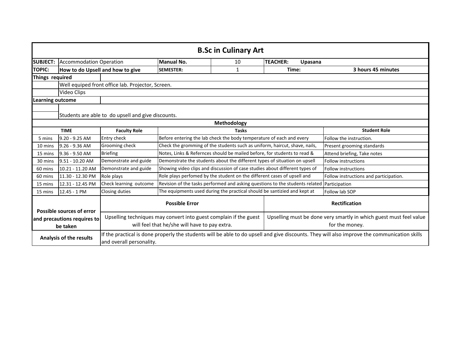|                                                   | <b>B.Sc in Culinary Art</b>                        |                                  |                                                                   |                                                                            |                                                                              |                                                                                                                                              |  |  |
|---------------------------------------------------|----------------------------------------------------|----------------------------------|-------------------------------------------------------------------|----------------------------------------------------------------------------|------------------------------------------------------------------------------|----------------------------------------------------------------------------------------------------------------------------------------------|--|--|
| <b>SUBJECT:</b>                                   | <b>Accommodation Operation</b>                     |                                  | <b>Manual No.</b>                                                 | 10                                                                         | <b>TEACHER:</b><br>Upasana                                                   |                                                                                                                                              |  |  |
| <b>TOPIC:</b>                                     |                                                    | How to do Upsell and how to give | <b>SEMESTER:</b>                                                  | $\mathbf{1}$                                                               | Time:                                                                        | 3 hours 45 minutes                                                                                                                           |  |  |
| Things required                                   |                                                    |                                  |                                                                   |                                                                            |                                                                              |                                                                                                                                              |  |  |
| Well equiped front office lab. Projector, Screen. |                                                    |                                  |                                                                   |                                                                            |                                                                              |                                                                                                                                              |  |  |
|                                                   | Video Clips                                        |                                  |                                                                   |                                                                            |                                                                              |                                                                                                                                              |  |  |
| <b>Learning outcome</b>                           |                                                    |                                  |                                                                   |                                                                            |                                                                              |                                                                                                                                              |  |  |
|                                                   | Students are able to do upsell and give discounts. |                                  |                                                                   |                                                                            |                                                                              |                                                                                                                                              |  |  |
| <b>Methodology</b>                                |                                                    |                                  |                                                                   |                                                                            |                                                                              |                                                                                                                                              |  |  |
|                                                   | <b>TIME</b>                                        | <b>Faculty Role</b>              |                                                                   | <b>Tasks</b>                                                               |                                                                              | <b>Student Role</b>                                                                                                                          |  |  |
| 5 mins                                            | 9.20 - 9.25 AM                                     | Entry check                      |                                                                   | Before entering the lab check the body temperature of each and every       |                                                                              | Follow the instruction.                                                                                                                      |  |  |
| 10 mins                                           | $9.26 - 9.36$ AM                                   | Grooming check                   |                                                                   | Check the gromming of the students such as uniform, haircut, shave, nails, | Present grooming standards                                                   |                                                                                                                                              |  |  |
| 15 mins                                           | 9.36 - 9.50 AM                                     | <b>Briefing</b>                  |                                                                   | Notes, Links & Refernces should be mailed before, for students to read &   |                                                                              | Attend briefing, Take notes                                                                                                                  |  |  |
| 30 mins                                           | 9.51 - 10.20 AM                                    | Demonstrate and guide            |                                                                   |                                                                            | Demonstrate the students about the different types of situation on upsell    | <b>Follow instructions</b>                                                                                                                   |  |  |
| 60 mins                                           | 10.21 - 11.20 AM                                   | Demonstrate and guide            |                                                                   |                                                                            | Showing video clips and discussion of case studies about different types of  | Follow instructions                                                                                                                          |  |  |
| 60 mins                                           | 11.30 - 12.30 PM                                   | Role plays                       |                                                                   | Role plays perfomed by the student on the different cases of upsell and    |                                                                              | Follow instructions and participation.                                                                                                       |  |  |
| 15 mins                                           | 12.31 - 12.45 PM                                   | Check learning outcome           |                                                                   |                                                                            | Revision of the tasks performed and asking questions to the students related | Participation                                                                                                                                |  |  |
| 15 mins                                           | 12.45 - 1 PM                                       | Closing duties                   |                                                                   | The equipments used during the practical should be santizied and kept at   |                                                                              | Follow lab SOP                                                                                                                               |  |  |
|                                                   | <b>Possible sources of error</b>                   |                                  | <b>Possible Error</b>                                             |                                                                            |                                                                              | <b>Rectification</b>                                                                                                                         |  |  |
|                                                   | and precautions requires to                        |                                  | Upselling techniques may convert into guest complain if the guest |                                                                            |                                                                              | Upselling must be done very smartly in which guest must feel value                                                                           |  |  |
|                                                   | be taken                                           |                                  | will feel that he/she will have to pay extra.                     |                                                                            |                                                                              | for the money.                                                                                                                               |  |  |
| Analysis of the results                           |                                                    | and overall personality.         |                                                                   |                                                                            |                                                                              | If the practical is done properly the students will be able to do upsell and give discounts. They will also improve the communication skills |  |  |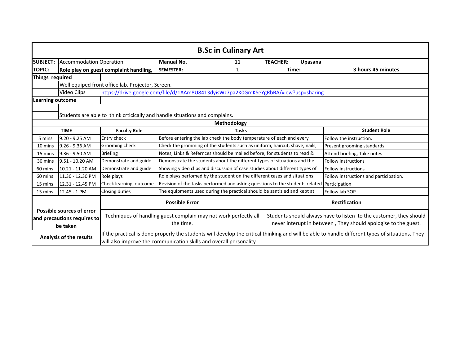| <b>B.Sc in Culinary Art</b>                                                 |                                |                                                                                                                                                                                                                         |                                                                                            |                                                                              |                                                                                                                                      |                                        |  |
|-----------------------------------------------------------------------------|--------------------------------|-------------------------------------------------------------------------------------------------------------------------------------------------------------------------------------------------------------------------|--------------------------------------------------------------------------------------------|------------------------------------------------------------------------------|--------------------------------------------------------------------------------------------------------------------------------------|----------------------------------------|--|
| <b>SUBJECT:</b>                                                             | <b>Accommodation Operation</b> |                                                                                                                                                                                                                         | Manual No.                                                                                 | 11                                                                           | <b>TEACHER:</b><br>Upasana                                                                                                           |                                        |  |
| <b>TOPIC:</b>                                                               |                                | Role play on guest complaint handling,                                                                                                                                                                                  | <b>SEMESTER:</b>                                                                           | 1                                                                            | Time:                                                                                                                                | 3 hours 45 minutes                     |  |
| Things required                                                             |                                |                                                                                                                                                                                                                         |                                                                                            |                                                                              |                                                                                                                                      |                                        |  |
| Well equiped front office lab. Projector, Screen.                           |                                |                                                                                                                                                                                                                         |                                                                                            |                                                                              |                                                                                                                                      |                                        |  |
| Video Clips                                                                 |                                |                                                                                                                                                                                                                         | https://drive.google.com/file/d/1AAm8U8413dyisWz7pa2K0GmKSeYgRbBA/view?usp=sharing         |                                                                              |                                                                                                                                      |                                        |  |
| <b>Learning outcome</b>                                                     |                                |                                                                                                                                                                                                                         |                                                                                            |                                                                              |                                                                                                                                      |                                        |  |
| Students are able to think crticically and handle situations and complains. |                                |                                                                                                                                                                                                                         |                                                                                            |                                                                              |                                                                                                                                      |                                        |  |
| <b>TIME</b><br><b>Faculty Role</b>                                          |                                | Methodology<br><b>Tasks</b>                                                                                                                                                                                             |                                                                                            | <b>Student Role</b>                                                          |                                                                                                                                      |                                        |  |
| 5 mins                                                                      | 9.20 - 9.25 AM                 | Entry check                                                                                                                                                                                                             |                                                                                            | Before entering the lab check the body temperature of each and every         | Follow the instruction.                                                                                                              |                                        |  |
| 10 mins                                                                     | 9.26 - 9.36 AM                 | Grooming check                                                                                                                                                                                                          | Check the gromming of the students such as uniform, haircut, shave, nails,                 |                                                                              |                                                                                                                                      | Present grooming standards             |  |
| 15 mins                                                                     | 9.36 - 9.50 AM                 | <b>Briefing</b>                                                                                                                                                                                                         | Notes, Links & Refernces should be mailed before, for students to read &                   |                                                                              |                                                                                                                                      | Attend briefing, Take notes            |  |
| 30 mins                                                                     | 9.51 - 10.20 AM                | Demonstrate and guide                                                                                                                                                                                                   |                                                                                            | Demonstrate the students about the different types of situations and the     | <b>Follow instructions</b>                                                                                                           |                                        |  |
| 60 mins                                                                     | 10.21 - 11.20 AM               | Demonstrate and guide                                                                                                                                                                                                   | Showing video clips and discussion of case studies about different types of                |                                                                              |                                                                                                                                      | <b>Follow instructions</b>             |  |
| 60 mins                                                                     | 11.30 - 12.30 PM               | Role plays                                                                                                                                                                                                              | Role plays perfomed by the student on the different cases and situations                   |                                                                              |                                                                                                                                      | Follow instructions and participation. |  |
| 15 mins                                                                     | 12.31 - 12.45 PM               | Check learning outcome                                                                                                                                                                                                  |                                                                                            | Revision of the tasks performed and asking questions to the students related | Participation                                                                                                                        |                                        |  |
| 15 mins                                                                     | 12.45 - 1 PM                   | Closing duties                                                                                                                                                                                                          | The equipments used during the practical should be santizied and kept at<br>Follow lab SOP |                                                                              |                                                                                                                                      |                                        |  |
|                                                                             |                                | <b>Possible Error</b>                                                                                                                                                                                                   |                                                                                            |                                                                              |                                                                                                                                      | <b>Rectification</b>                   |  |
| Possible sources of error<br>and precautions requires to<br>be taken        |                                | Techniques of handling guest complain may not work perfectly all<br>the time.                                                                                                                                           |                                                                                            |                                                                              | Students should always have to listen to the customer, they should<br>never interupt in between, They should apologise to the guest. |                                        |  |
| Analysis of the results                                                     |                                | If the practical is done properly the students will develop the critical thinking and will be able to handle different types of situations. They<br>will also improve the communication skills and overall personality. |                                                                                            |                                                                              |                                                                                                                                      |                                        |  |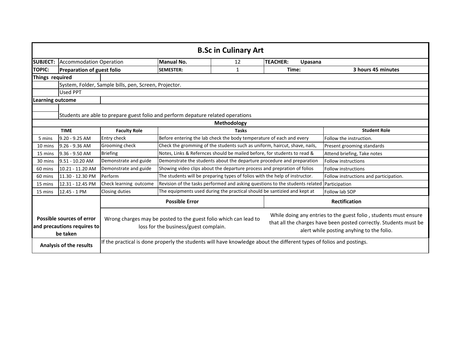| <b>B.Sc in Culinary Art</b>                                          |                                                                                  |                                                                                                                      |                                                                                            |                                                                                                                                                                                    |                                                                                            |                            |  |  |
|----------------------------------------------------------------------|----------------------------------------------------------------------------------|----------------------------------------------------------------------------------------------------------------------|--------------------------------------------------------------------------------------------|------------------------------------------------------------------------------------------------------------------------------------------------------------------------------------|--------------------------------------------------------------------------------------------|----------------------------|--|--|
| <b>SUBJECT:</b>                                                      | <b>Accommodation Operation</b>                                                   |                                                                                                                      | Manual No.                                                                                 | 12                                                                                                                                                                                 | <b>TEACHER:</b><br>Upasana                                                                 |                            |  |  |
| <b>TOPIC:</b>                                                        | <b>Preparation of guest folio</b>                                                |                                                                                                                      | <b>SEMESTER:</b>                                                                           | $\mathbf{1}$                                                                                                                                                                       | Time:                                                                                      | 3 hours 45 minutes         |  |  |
| Things required                                                      |                                                                                  |                                                                                                                      |                                                                                            |                                                                                                                                                                                    |                                                                                            |                            |  |  |
|                                                                      |                                                                                  | System, Folder, Sample bills, pen, Screen, Projector.                                                                |                                                                                            |                                                                                                                                                                                    |                                                                                            |                            |  |  |
|                                                                      | Used PPT                                                                         |                                                                                                                      |                                                                                            |                                                                                                                                                                                    |                                                                                            |                            |  |  |
| <b>Learning outcome</b>                                              |                                                                                  |                                                                                                                      |                                                                                            |                                                                                                                                                                                    |                                                                                            |                            |  |  |
|                                                                      | Students are able to prepare guest folio and perform depature related operations |                                                                                                                      |                                                                                            |                                                                                                                                                                                    |                                                                                            |                            |  |  |
|                                                                      | Methodology                                                                      |                                                                                                                      |                                                                                            |                                                                                                                                                                                    |                                                                                            |                            |  |  |
|                                                                      | <b>TIME</b><br><b>Faculty Role</b>                                               |                                                                                                                      | <b>Tasks</b>                                                                               |                                                                                                                                                                                    | <b>Student Role</b>                                                                        |                            |  |  |
| 5 mins                                                               | $9.20 - 9.25$ AM                                                                 | Entry check                                                                                                          |                                                                                            | Before entering the lab check the body temperature of each and every                                                                                                               |                                                                                            | Follow the instruction.    |  |  |
| 10 mins                                                              | 9.26 - 9.36 AM                                                                   | Grooming check                                                                                                       | Check the gromming of the students such as uniform, haircut, shave, nails,                 |                                                                                                                                                                                    | Present grooming standards                                                                 |                            |  |  |
| 15 mins                                                              | 9.36 - 9.50 AM                                                                   | <b>Briefing</b>                                                                                                      | Notes, Links & Refernces should be mailed before, for students to read &                   |                                                                                                                                                                                    | Attend briefing, Take notes                                                                |                            |  |  |
| 30 mins                                                              | 9.51 - 10.20 AM                                                                  | Demonstrate and guide                                                                                                | Demonstrate the students about the departure procedure and preparation                     |                                                                                                                                                                                    |                                                                                            | <b>Follow instructions</b> |  |  |
| 60 mins                                                              | 10.21 - 11.20 AM                                                                 | Demonstrate and guide                                                                                                |                                                                                            | Showing video clips about the departure process and prepration of folios                                                                                                           |                                                                                            | <b>Follow instructions</b> |  |  |
| 60 mins                                                              | 11.30 - 12.30 PM                                                                 | Perform                                                                                                              | The students will be preparing types of folios with the help of instructor.                |                                                                                                                                                                                    | Follow instructions and participation.                                                     |                            |  |  |
| 15 mins                                                              | 12.31 - 12.45 PM                                                                 | Check learning outcome                                                                                               |                                                                                            |                                                                                                                                                                                    | Revision of the tasks performed and asking questions to the students related Participation |                            |  |  |
| 15 mins                                                              | 12.45 - 1 PM                                                                     | Closing duties                                                                                                       | The equipments used during the practical should be santizied and kept at<br>Follow lab SOP |                                                                                                                                                                                    |                                                                                            |                            |  |  |
|                                                                      |                                                                                  |                                                                                                                      | <b>Possible Error</b>                                                                      | <b>Rectification</b>                                                                                                                                                               |                                                                                            |                            |  |  |
| Possible sources of error<br>and precautions requires to<br>be taken |                                                                                  | Wrong charges may be posted to the guest folio which can lead to<br>loss for the business/guest complain.            |                                                                                            | While doing any entries to the guest folio, students must ensure<br>that all the charges have been posted correctly. Students must be<br>alert while posting anyhing to the folio. |                                                                                            |                            |  |  |
| <b>Analysis of the results</b>                                       |                                                                                  | If the practical is done properly the students will have knowledge about the different types of folios and postings. |                                                                                            |                                                                                                                                                                                    |                                                                                            |                            |  |  |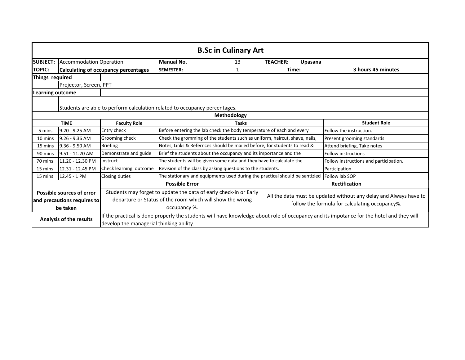| <b>B.Sc in Culinary Art</b>                                          |                                                                                           |                                                                                                                                                                                      |                                                                             |                                                                                                                     |                                                                            |                             |  |  |
|----------------------------------------------------------------------|-------------------------------------------------------------------------------------------|--------------------------------------------------------------------------------------------------------------------------------------------------------------------------------------|-----------------------------------------------------------------------------|---------------------------------------------------------------------------------------------------------------------|----------------------------------------------------------------------------|-----------------------------|--|--|
| <b>SUBJECT:</b>                                                      | <b>Accommodation Operation</b>                                                            |                                                                                                                                                                                      | <b>Manual No.</b>                                                           | 13                                                                                                                  | <b>TEACHER:</b><br>Upasana                                                 |                             |  |  |
| <b>TOPIC:</b>                                                        | <b>Calculating of occupancy percentages</b>                                               |                                                                                                                                                                                      | <b>SEMESTER:</b>                                                            | 1                                                                                                                   | Time:                                                                      | 3 hours 45 minutes          |  |  |
| Things required                                                      |                                                                                           |                                                                                                                                                                                      |                                                                             |                                                                                                                     |                                                                            |                             |  |  |
|                                                                      | Projector, Screen, PPT                                                                    |                                                                                                                                                                                      |                                                                             |                                                                                                                     |                                                                            |                             |  |  |
| <b>Learning outcome</b>                                              |                                                                                           |                                                                                                                                                                                      |                                                                             |                                                                                                                     |                                                                            |                             |  |  |
|                                                                      | Students are able to perform calculation related to occupancy percentages.<br>Methodology |                                                                                                                                                                                      |                                                                             |                                                                                                                     |                                                                            |                             |  |  |
| <b>TIME</b>                                                          |                                                                                           | <b>Faculty Role</b>                                                                                                                                                                  | <b>Tasks</b>                                                                |                                                                                                                     | <b>Student Role</b>                                                        |                             |  |  |
| 5 mins                                                               | 9.20 - 9.25 AM                                                                            | <b>Entry check</b>                                                                                                                                                                   |                                                                             | Before entering the lab check the body temperature of each and every                                                |                                                                            | Follow the instruction.     |  |  |
| 10 mins                                                              | $9.26 - 9.36$ AM                                                                          | Grooming check                                                                                                                                                                       |                                                                             |                                                                                                                     | Check the gromming of the students such as uniform, haircut, shave, nails, | Present grooming standards  |  |  |
| 15 mins                                                              | 9.36 - 9.50 AM                                                                            | <b>Briefing</b>                                                                                                                                                                      | Notes, Links & Refernces should be mailed before, for students to read &    |                                                                                                                     |                                                                            | Attend briefing, Take notes |  |  |
| 90 mins                                                              | 9.51 - 11.20 AM                                                                           | Demonstrate and guide                                                                                                                                                                | Brief the students about the occupancy and its importance and the           |                                                                                                                     | <b>Follow instructions</b>                                                 |                             |  |  |
| 70 mins                                                              | 11.20 - 12.30 PM                                                                          | Instruct                                                                                                                                                                             | The students will be given some data and they have to calculate the         |                                                                                                                     | Follow instructions and participation.                                     |                             |  |  |
| 15 mins                                                              | 12.31 - 12.45 PM                                                                          | Check learning outcome                                                                                                                                                               | Revision of the class by asking questions to the students.                  |                                                                                                                     | Participation                                                              |                             |  |  |
| 15 mins                                                              | 12.45 - 1 PM                                                                              | Closing duties                                                                                                                                                                       | The stationary and equipments used during the practical should be santizied |                                                                                                                     | Follow lab SOP                                                             |                             |  |  |
|                                                                      |                                                                                           | <b>Possible Error</b>                                                                                                                                                                |                                                                             | Rectification                                                                                                       |                                                                            |                             |  |  |
| Possible sources of error<br>and precautions requires to<br>be taken |                                                                                           | Students may forget to update the data of early check-in or Early<br>departure or Status of the room which will show the wrong<br>occupancy %.                                       |                                                                             | All the data must be updated without any delay and Always have to<br>follow the formula for calculating occupancy%. |                                                                            |                             |  |  |
| Analysis of the results                                              |                                                                                           | If the practical is done properly the students will have knowledge about role of occupancy and its impotance for the hotel and they will<br>develop the managerial thinking ability. |                                                                             |                                                                                                                     |                                                                            |                             |  |  |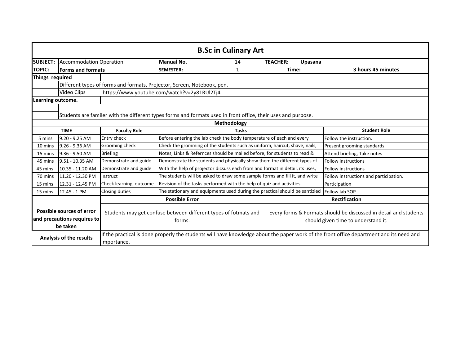| <b>B.Sc in Culinary Art</b>                                                                                   |                                    |                                                                                                                                                        |                                                                             |                                                                              |                                                                             |                                                                                                         |  |
|---------------------------------------------------------------------------------------------------------------|------------------------------------|--------------------------------------------------------------------------------------------------------------------------------------------------------|-----------------------------------------------------------------------------|------------------------------------------------------------------------------|-----------------------------------------------------------------------------|---------------------------------------------------------------------------------------------------------|--|
| <b>SUBJECT:</b><br><b>Accommodation Operation</b>                                                             |                                    | Manual No.                                                                                                                                             | 14                                                                          | <b>TEACHER:</b><br>Upasana                                                   |                                                                             |                                                                                                         |  |
| <b>TOPIC:</b>                                                                                                 | <b>Forms and formats</b>           |                                                                                                                                                        | <b>SEMESTER:</b>                                                            | 1                                                                            | Time:                                                                       | 3 hours 45 minutes                                                                                      |  |
| Things required                                                                                               |                                    |                                                                                                                                                        |                                                                             |                                                                              |                                                                             |                                                                                                         |  |
|                                                                                                               |                                    | Different types of forms and formats, Projector, Screen, Notebook, pen.                                                                                |                                                                             |                                                                              |                                                                             |                                                                                                         |  |
|                                                                                                               | Video Clips                        |                                                                                                                                                        | https://www.youtube.com/watch?v=2y81RUI2Tj4                                 |                                                                              |                                                                             |                                                                                                         |  |
| Learning outcome.                                                                                             |                                    |                                                                                                                                                        |                                                                             |                                                                              |                                                                             |                                                                                                         |  |
| Students are familer with the different types forms and formats used in front office, their uses and purpose. |                                    |                                                                                                                                                        |                                                                             |                                                                              |                                                                             |                                                                                                         |  |
| Methodology                                                                                                   |                                    |                                                                                                                                                        |                                                                             |                                                                              |                                                                             |                                                                                                         |  |
|                                                                                                               | <b>TIME</b><br><b>Faculty Role</b> |                                                                                                                                                        | <b>Tasks</b>                                                                |                                                                              |                                                                             | <b>Student Role</b>                                                                                     |  |
| 5 mins                                                                                                        | $9.20 - 9.25$ AM                   | <b>Entry check</b>                                                                                                                                     | Before entering the lab check the body temperature of each and every        |                                                                              | Follow the instruction.                                                     |                                                                                                         |  |
| 10 mins                                                                                                       | $9.26 - 9.36$ AM                   | Grooming check                                                                                                                                         | Check the gromming of the students such as uniform, haircut, shave, nails,  |                                                                              | Present grooming standards                                                  |                                                                                                         |  |
| 15 mins                                                                                                       | 9.36 - 9.50 AM                     | <b>Briefing</b>                                                                                                                                        | Notes, Links & Refernces should be mailed before, for students to read &    |                                                                              | Attend briefing, Take notes                                                 |                                                                                                         |  |
| 45 mins                                                                                                       | 9.51 - 10.35 AM                    | Demonstrate and guide                                                                                                                                  | Demonstrate the students and physically show them the different types of    |                                                                              | <b>Follow instructions</b>                                                  |                                                                                                         |  |
| 45 mins                                                                                                       | 10.35 - 11.20 AM                   | Demonstrate and guide                                                                                                                                  |                                                                             | With the help of projector dicsuss each from and format in detail, its uses, | Follow instructions                                                         |                                                                                                         |  |
| 70 mins                                                                                                       | 11.20 - 12.30 PM                   | Instruct                                                                                                                                               | The students will be asked to draw some sample forms and fill it, and write |                                                                              | Follow instructions and participation.                                      |                                                                                                         |  |
| 15 mins                                                                                                       | 12.31 - 12.45 PM                   | Check learning outcome                                                                                                                                 | Revision of the tasks performed with the help of quiz and activities.       |                                                                              | Participation                                                               |                                                                                                         |  |
| 15 mins                                                                                                       | 12.45 - 1 PM                       | <b>Closing duties</b>                                                                                                                                  |                                                                             |                                                                              | The stationary and equipments used during the practical should be santizied | Follow lab SOP                                                                                          |  |
|                                                                                                               |                                    |                                                                                                                                                        | <b>Possible Error</b>                                                       |                                                                              |                                                                             | <b>Rectification</b>                                                                                    |  |
| <b>Possible sources of error</b><br>and precautions requires to<br>be taken                                   |                                    |                                                                                                                                                        | Students may get confuse between different types of fotmats and<br>forms.   |                                                                              |                                                                             | Every forms & Formats should be discussed in detail and students<br>should given time to understand it. |  |
| <b>Analysis of the results</b>                                                                                |                                    | If the practical is done properly the students will have knowledge about the paper work of the front office department and its need and<br>importance. |                                                                             |                                                                              |                                                                             |                                                                                                         |  |